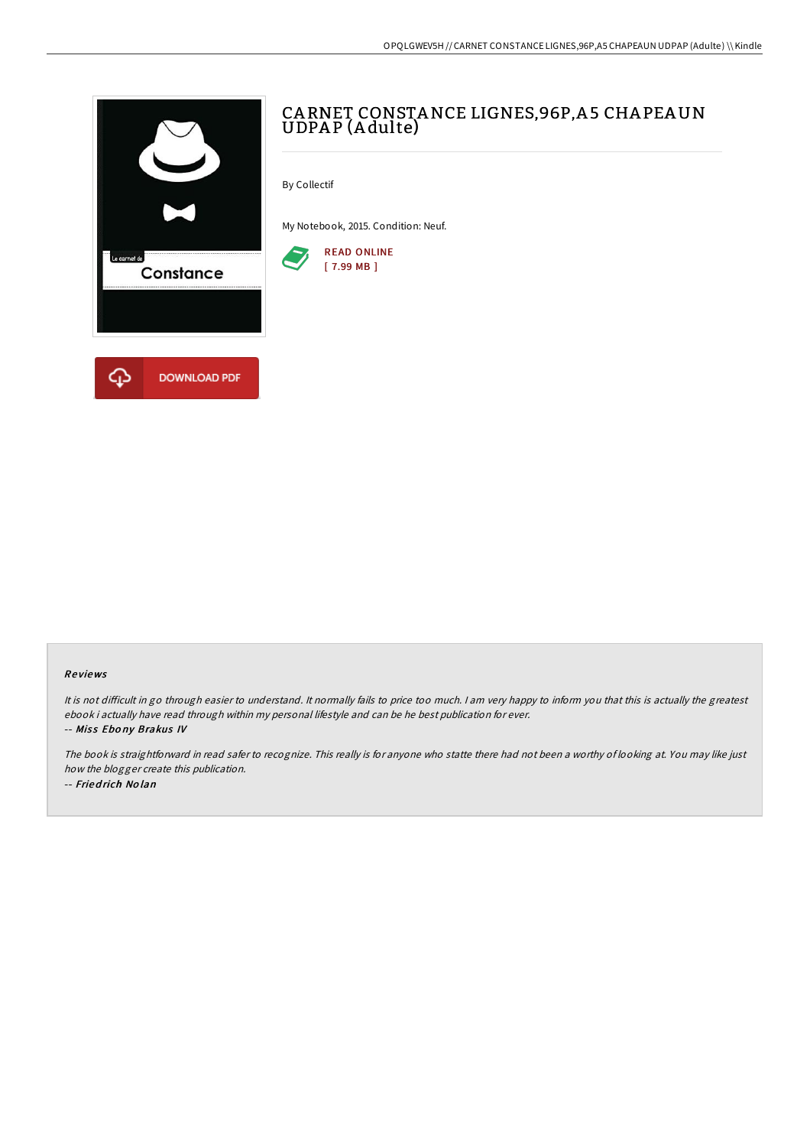

# CA RNET CONSTANCE LIGNES,96P,A 5 CHA PEAUN UDPA P (A dulte)

By Collectif

My Notebook, 2015. Condition: Neuf.



## Re views

It is not difficult in go through easier to understand. It normally fails to price too much. I am very happy to inform you that this is actually the greatest ebook i actually have read through within my personal lifestyle and can be he best publication for ever. -- Miss Ebony Brakus IV

The book is straightforward in read safer to recognize. This really is for anyone who statte there had not been <sup>a</sup> worthy of looking at. You may like just how the blogger create this publication.

-- Fried rich No lan